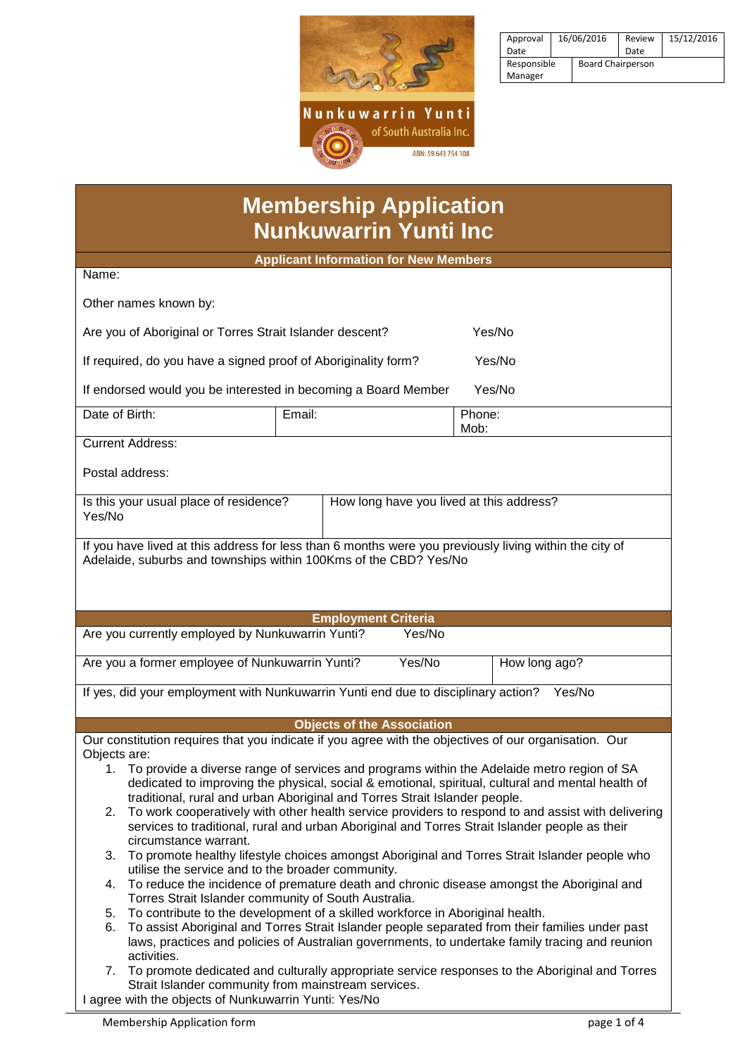

| Approval    | 16/06/2016 |                          | Review | 15/12/2016 |
|-------------|------------|--------------------------|--------|------------|
| Date        |            |                          | Date   |            |
| Responsible |            | <b>Board Chairperson</b> |        |            |
| Manager     |            |                          |        |            |

| <b>Membership Application</b> |  |
|-------------------------------|--|
| <b>Nunkuwarrin Yunti Inc</b>  |  |

| NUNKUWArrin Yunti ing                                                                                                                                                                                      |  |  |  |  |  |  |
|------------------------------------------------------------------------------------------------------------------------------------------------------------------------------------------------------------|--|--|--|--|--|--|
| <b>Applicant Information for New Members</b>                                                                                                                                                               |  |  |  |  |  |  |
| Name:                                                                                                                                                                                                      |  |  |  |  |  |  |
| Other names known by:                                                                                                                                                                                      |  |  |  |  |  |  |
| Are you of Aboriginal or Torres Strait Islander descent?<br>Yes/No                                                                                                                                         |  |  |  |  |  |  |
| If required, do you have a signed proof of Aboriginality form?<br>Yes/No                                                                                                                                   |  |  |  |  |  |  |
| Yes/No<br>If endorsed would you be interested in becoming a Board Member                                                                                                                                   |  |  |  |  |  |  |
| Date of Birth:<br>Email:<br>Phone:<br>Mob:                                                                                                                                                                 |  |  |  |  |  |  |
| <b>Current Address:</b>                                                                                                                                                                                    |  |  |  |  |  |  |
| Postal address:                                                                                                                                                                                            |  |  |  |  |  |  |
| How long have you lived at this address?<br>Is this your usual place of residence?<br>Yes/No                                                                                                               |  |  |  |  |  |  |
| If you have lived at this address for less than 6 months were you previously living within the city of<br>Adelaide, suburbs and townships within 100Kms of the CBD? Yes/No                                 |  |  |  |  |  |  |
|                                                                                                                                                                                                            |  |  |  |  |  |  |
|                                                                                                                                                                                                            |  |  |  |  |  |  |
| <b>Employment Criteria</b>                                                                                                                                                                                 |  |  |  |  |  |  |
| Are you currently employed by Nunkuwarrin Yunti?<br>Yes/No                                                                                                                                                 |  |  |  |  |  |  |
| Are you a former employee of Nunkuwarrin Yunti?<br>Yes/No<br>How long ago?                                                                                                                                 |  |  |  |  |  |  |
| If yes, did your employment with Nunkuwarrin Yunti end due to disciplinary action?<br>Yes/No                                                                                                               |  |  |  |  |  |  |
| <b>Objects of the Association</b>                                                                                                                                                                          |  |  |  |  |  |  |
| Our constitution requires that you indicate if you agree with the objectives of our organisation. Our                                                                                                      |  |  |  |  |  |  |
| Objects are:                                                                                                                                                                                               |  |  |  |  |  |  |
| To provide a diverse range of services and programs within the Adelaide metro region of SA<br>1.                                                                                                           |  |  |  |  |  |  |
| dedicated to improving the physical, social & emotional, spiritual, cultural and mental health of                                                                                                          |  |  |  |  |  |  |
| traditional, rural and urban Aboriginal and Torres Strait Islander people.                                                                                                                                 |  |  |  |  |  |  |
| To work cooperatively with other health service providers to respond to and assist with delivering<br>2.<br>services to traditional, rural and urban Aboriginal and Torres Strait Islander people as their |  |  |  |  |  |  |
| circumstance warrant.                                                                                                                                                                                      |  |  |  |  |  |  |
| To promote healthy lifestyle choices amongst Aboriginal and Torres Strait Islander people who<br>3.                                                                                                        |  |  |  |  |  |  |
| utilise the service and to the broader community.                                                                                                                                                          |  |  |  |  |  |  |
| To reduce the incidence of premature death and chronic disease amongst the Aboriginal and<br>4.<br>Torres Strait Islander community of South Australia.                                                    |  |  |  |  |  |  |
| To contribute to the development of a skilled workforce in Aboriginal health.<br>5.                                                                                                                        |  |  |  |  |  |  |
| To assist Aboriginal and Torres Strait Islander people separated from their families under past<br>6.<br>laws, practices and policies of Australian governments, to undertake family tracing and reunion   |  |  |  |  |  |  |
| activities.                                                                                                                                                                                                |  |  |  |  |  |  |
| To promote dedicated and culturally appropriate service responses to the Aboriginal and Torres<br>7.<br>Strait Islander community from mainstream services.                                                |  |  |  |  |  |  |

I agree with the objects of Nunkuwarrin Yunti: Yes/No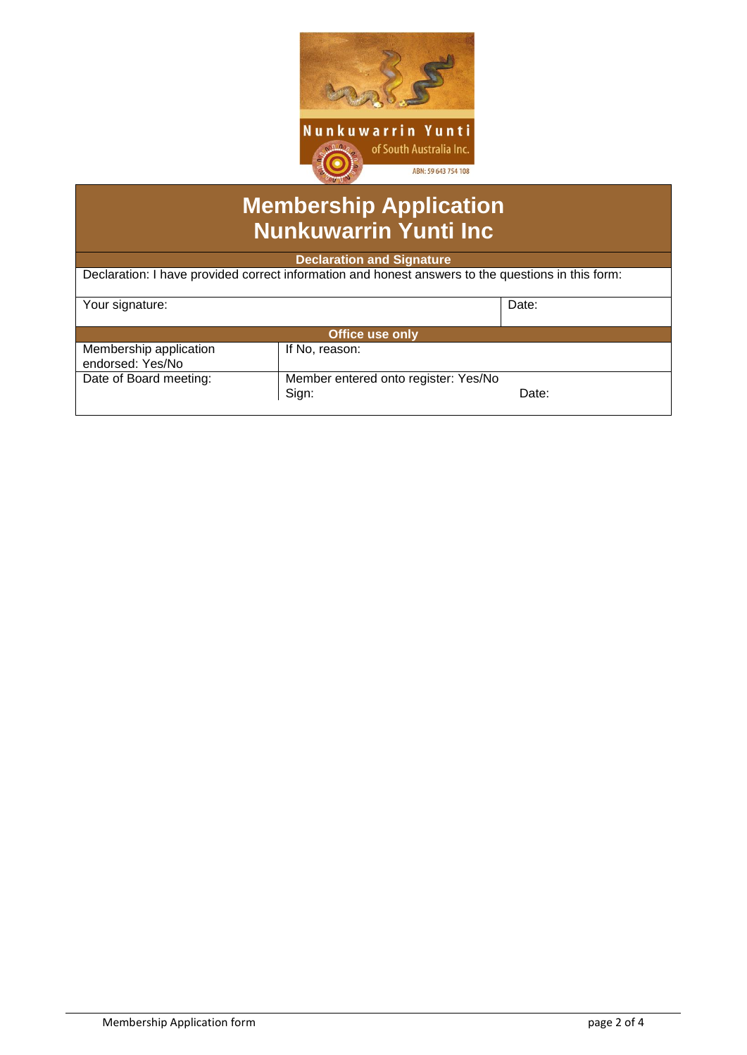

# **Membership Application Nunkuwarrin Yunti Inc**

**Declaration and Signature**

Declaration: I have provided correct information and honest answers to the questions in this form:

| Your signature:                            |                                               | Date: |  |  |  |
|--------------------------------------------|-----------------------------------------------|-------|--|--|--|
| <b>Office use only</b>                     |                                               |       |  |  |  |
| Membership application<br>endorsed: Yes/No | If No, reason:                                |       |  |  |  |
| Date of Board meeting:                     | Member entered onto register: Yes/No<br>Sign: | Date: |  |  |  |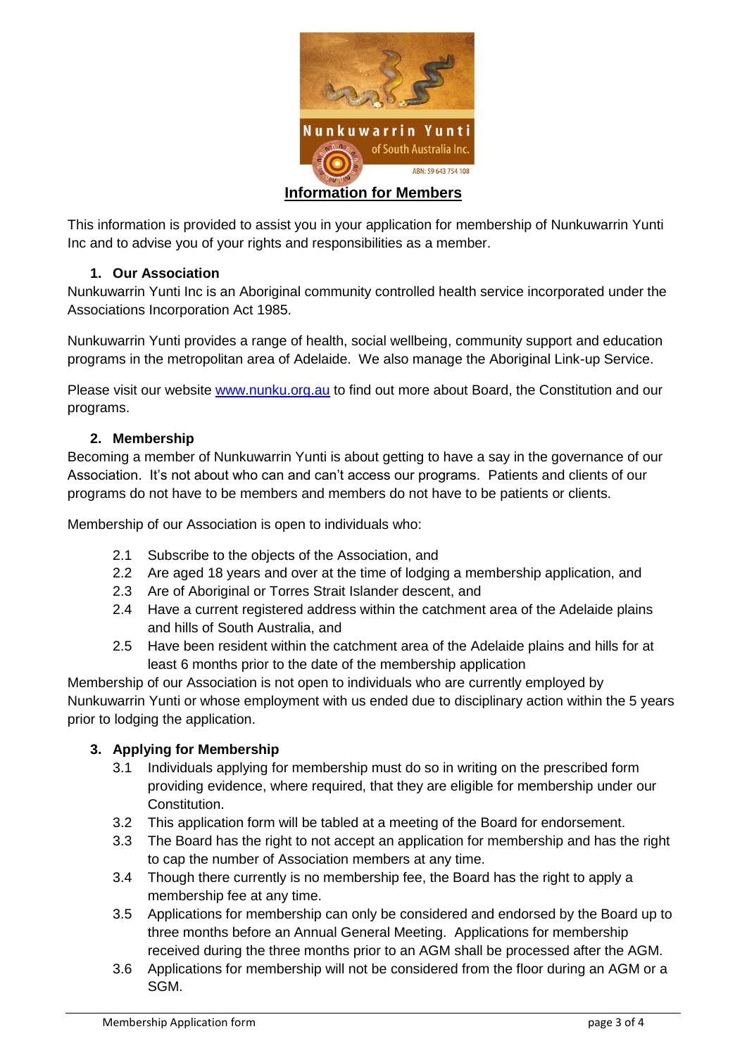

This information is provided to assist you in your application for membership of Nunkuwarrin Yunti Inc and to advise you of your rights and responsibilities as a member.

## **1. Our Association**

Nunkuwarrin Yunti Inc is an Aboriginal community controlled health service incorporated under the Associations Incorporation Act 1985.

Nunkuwarrin Yunti provides a range of health, social wellbeing, community support and education programs in the metropolitan area of Adelaide. We also manage the Aboriginal Link-up Service.

Please visit our website [www.nunku.org.au](http://www.nunku.org.au/) to find out more about Board, the Constitution and our programs.

### **2. Membership**

Becoming a member of Nunkuwarrin Yunti is about getting to have a say in the governance of our Association. It's not about who can and can't access our programs. Patients and clients of our programs do not have to be members and members do not have to be patients or clients.

Membership of our Association is open to individuals who:

- 2.1 Subscribe to the objects of the Association, and
- 2.2 Are aged 18 years and over at the time of lodging a membership application, and
- 2.3 Are of Aboriginal or Torres Strait Islander descent, and
- 2.4 Have a current registered address within the catchment area of the Adelaide plains and hills of South Australia, and
- 2.5 Have been resident within the catchment area of the Adelaide plains and hills for at least 6 months prior to the date of the membership application

Membership of our Association is not open to individuals who are currently employed by Nunkuwarrin Yunti or whose employment with us ended due to disciplinary action within the 5 years prior to lodging the application.

### **3. Applying for Membership**

- 3.1 Individuals applying for membership must do so in writing on the prescribed form providing evidence, where required, that they are eligible for membership under our Constitution.
- 3.2 This application form will be tabled at a meeting of the Board for endorsement.
- 3.3 The Board has the right to not accept an application for membership and has the right to cap the number of Association members at any time.
- 3.4 Though there currently is no membership fee, the Board has the right to apply a membership fee at any time.
- 3.5 Applications for membership can only be considered and endorsed by the Board up to three months before an Annual General Meeting. Applications for membership received during the three months prior to an AGM shall be processed after the AGM.
- 3.6 Applications for membership will not be considered from the floor during an AGM or a SGM.